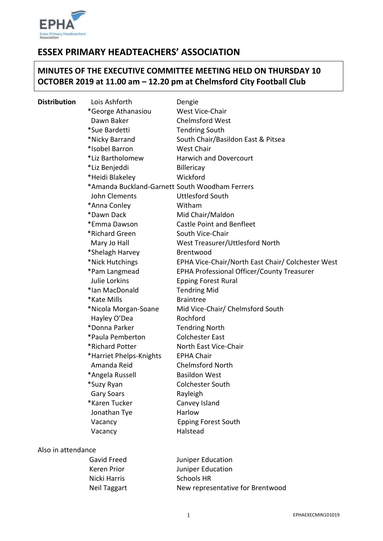

# **ESSEX PRIMARY HEADTEACHERS' ASSOCIATION**

# **MINUTES OF THE EXECUTIVE COMMITTEE MEETING HELD ON THURSDAY 10 OCTOBER 2019 at 11.00 am – 12.20 pm at Chelmsford City Football Club**

| <b>Distribution</b> | Lois Ashforth                                  | Dengie                                            |
|---------------------|------------------------------------------------|---------------------------------------------------|
|                     | *George Athanasiou                             | West Vice-Chair                                   |
|                     | Dawn Baker                                     | <b>Chelmsford West</b>                            |
|                     | *Sue Bardetti                                  | <b>Tendring South</b>                             |
|                     | *Nicky Barrand                                 | South Chair/Basildon East & Pitsea                |
|                     | *Isobel Barron                                 | <b>West Chair</b>                                 |
|                     | *Liz Bartholomew                               | <b>Harwich and Dovercourt</b>                     |
|                     | *Liz Benjeddi                                  | Billericay                                        |
|                     | *Heidi Blakeley                                | Wickford                                          |
|                     | *Amanda Buckland-Garnett South Woodham Ferrers |                                                   |
|                     | John Clements                                  | <b>Uttlesford South</b>                           |
|                     | *Anna Conley                                   | Witham                                            |
|                     | *Dawn Dack                                     | Mid Chair/Maldon                                  |
|                     | *Emma Dawson                                   | <b>Castle Point and Benfleet</b>                  |
|                     | *Richard Green                                 | South Vice-Chair                                  |
|                     | Mary Jo Hall                                   | West Treasurer/Uttlesford North                   |
|                     | *Shelagh Harvey                                | Brentwood                                         |
|                     | *Nick Hutchings                                | EPHA Vice-Chair/North East Chair/ Colchester West |
|                     | *Pam Langmead                                  | EPHA Professional Officer/County Treasurer        |
|                     | Julie Lorkins                                  | <b>Epping Forest Rural</b>                        |
|                     | *Ian MacDonald                                 | <b>Tendring Mid</b>                               |
|                     | *Kate Mills                                    | <b>Braintree</b>                                  |
|                     | *Nicola Morgan-Soane                           | Mid Vice-Chair/ Chelmsford South                  |
|                     | Hayley O'Dea                                   | Rochford                                          |
|                     | *Donna Parker                                  | <b>Tendring North</b>                             |
|                     | *Paula Pemberton                               | <b>Colchester East</b>                            |
|                     | *Richard Potter                                | North East Vice-Chair                             |
|                     | *Harriet Phelps-Knights                        | <b>EPHA Chair</b>                                 |
|                     | Amanda Reid                                    | <b>Chelmsford North</b>                           |
|                     | *Angela Russell                                | <b>Basildon West</b>                              |
|                     | *Suzy Ryan                                     | Colchester South                                  |
|                     | <b>Gary Soars</b>                              | Rayleigh                                          |
|                     | *Karen Tucker                                  | Canvey Island                                     |
|                     | Jonathan Tye                                   | Harlow                                            |
|                     | Vacancy                                        | <b>Epping Forest South</b>                        |
|                     | Vacancy                                        | Halstead                                          |
|                     |                                                |                                                   |

# Also in attendance

| Juniper Education                |
|----------------------------------|
| Juniper Education                |
| Schools HR                       |
| New representative for Brentwood |
|                                  |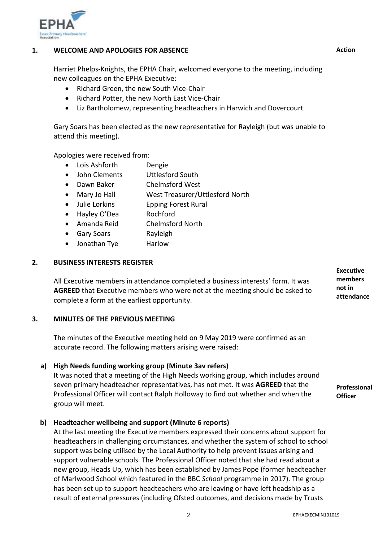

#### **1. WELCOME AND APOLOGIES FOR ABSENCE**

Harriet Phelps-Knights, the EPHA Chair, welcomed everyone to the meeting, including new colleagues on the EPHA Executive:

- Richard Green, the new South Vice-Chair
- Richard Potter, the new North East Vice-Chair
- Liz Bartholomew, representing headteachers in Harwich and Dovercourt

Gary Soars has been elected as the new representative for Rayleigh (but was unable to attend this meeting).

Apologies were received from:

- Lois Ashforth Dengie
- John Clements Uttlesford South
- Dawn Baker Chelmsford West
- Mary Jo Hall West Treasurer/Uttlesford North
- Julie Lorkins Epping Forest Rural
- Hayley O'Dea Rochford
- Amanda Reid Chelmsford North
- Gary Soars Rayleigh
- Jonathan Tye Harlow

#### **2. BUSINESS INTERESTS REGISTER**

All Executive members in attendance completed a business interests' form. It was **AGREED** that Executive members who were not at the meeting should be asked to complete a form at the earliest opportunity.

#### **3. MINUTES OF THE PREVIOUS MEETING**

The minutes of the Executive meeting held on 9 May 2019 were confirmed as an accurate record. The following matters arising were raised:

# **a) High Needs funding working group (Minute 3av refers)**

It was noted that a meeting of the High Needs working group, which includes around seven primary headteacher representatives, has not met. It was **AGREED** that the Professional Officer will contact Ralph Holloway to find out whether and when the group will meet.

# **b) Headteacher wellbeing and support (Minute 6 reports)**

At the last meeting the Executive members expressed their concerns about support for headteachers in challenging circumstances, and whether the system of school to school support was being utilised by the Local Authority to help prevent issues arising and support vulnerable schools. The Professional Officer noted that she had read about a new group, Heads Up, which has been established by James Pope (former headteacher of Marlwood School which featured in the BBC *School* programme in 2017). The group has been set up to support headteachers who are leaving or have left headship as a result of external pressures (including Ofsted outcomes, and decisions made by Trusts

**Executive members not in attendance**

**Professional Officer**

**Action**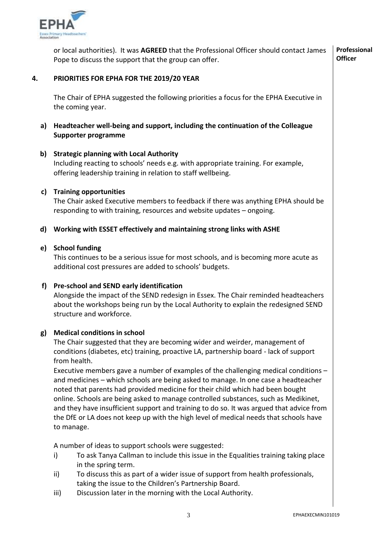

or local authorities). It was **AGREED** that the Professional Officer should contact James Pope to discuss the support that the group can offer. **Professional Officer**

#### **4. PRIORITIES FOR EPHA FOR THE 2019/20 YEAR**

The Chair of EPHA suggested the following priorities a focus for the EPHA Executive in the coming year.

**a) Headteacher well-being and support, including the continuation of the Colleague Supporter programme**

#### **b) Strategic planning with Local Authority**

Including reacting to schools' needs e.g. with appropriate training. For example, offering leadership training in relation to staff wellbeing.

# **c) Training opportunities**

The Chair asked Executive members to feedback if there was anything EPHA should be responding to with training, resources and website updates – ongoing.

#### **d) Working with ESSET effectively and maintaining strong links with ASHE**

#### **e) School funding**

This continues to be a serious issue for most schools, and is becoming more acute as additional cost pressures are added to schools' budgets.

# **f) Pre-school and SEND early identification**

Alongside the impact of the SEND redesign in Essex. The Chair reminded headteachers about the workshops being run by the Local Authority to explain the redesigned SEND structure and workforce.

#### **g) Medical conditions in school**

The Chair suggested that they are becoming wider and weirder, management of conditions (diabetes, etc) training, proactive LA, partnership board - lack of support from health.

Executive members gave a number of examples of the challenging medical conditions – and medicines – which schools are being asked to manage. In one case a headteacher noted that parents had provided medicine for their child which had been bought online. Schools are being asked to manage controlled substances, such as Medikinet, and they have insufficient support and training to do so. It was argued that advice from the DfE or LA does not keep up with the high level of medical needs that schools have to manage.

A number of ideas to support schools were suggested:

- i) To ask Tanya Callman to include this issue in the Equalities training taking place in the spring term.
- ii) To discuss this as part of a wider issue of support from health professionals, taking the issue to the Children's Partnership Board.
- iii) Discussion later in the morning with the Local Authority.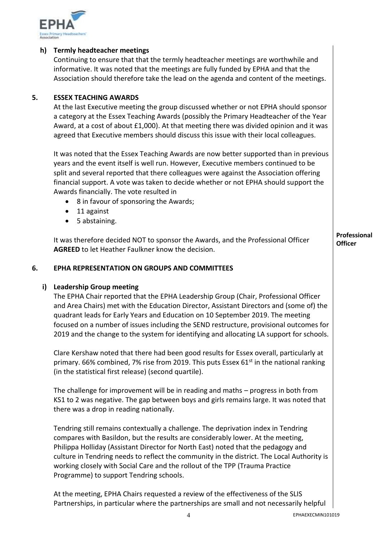

# **h) Termly headteacher meetings**

Continuing to ensure that that the termly headteacher meetings are worthwhile and informative. It was noted that the meetings are fully funded by EPHA and that the Association should therefore take the lead on the agenda and content of the meetings.

# **5. ESSEX TEACHING AWARDS**

At the last Executive meeting the group discussed whether or not EPHA should sponsor a category at the Essex Teaching Awards (possibly the Primary Headteacher of the Year Award, at a cost of about £1,000). At that meeting there was divided opinion and it was agreed that Executive members should discuss this issue with their local colleagues.

It was noted that the Essex Teaching Awards are now better supported than in previous years and the event itself is well run. However, Executive members continued to be split and several reported that there colleagues were against the Association offering financial support. A vote was taken to decide whether or not EPHA should support the Awards financially. The vote resulted in

- 8 in favour of sponsoring the Awards:
- 11 against
- 5 abstaining.

It was therefore decided NOT to sponsor the Awards, and the Professional Officer **AGREED** to let Heather Faulkner know the decision.

#### **6. EPHA REPRESENTATION ON GROUPS AND COMMITTEES**

#### **i) Leadership Group meeting**

The EPHA Chair reported that the EPHA Leadership Group (Chair, Professional Officer and Area Chairs) met with the Education Director, Assistant Directors and (some of) the quadrant leads for Early Years and Education on 10 September 2019. The meeting focused on a number of issues including the SEND restructure, provisional outcomes for 2019 and the change to the system for identifying and allocating LA support for schools.

Clare Kershaw noted that there had been good results for Essex overall, particularly at primary. 66% combined, 7% rise from 2019. This puts Essex  $61<sup>st</sup>$  in the national ranking (in the statistical first release) (second quartile).

The challenge for improvement will be in reading and maths – progress in both from KS1 to 2 was negative. The gap between boys and girls remains large. It was noted that there was a drop in reading nationally.

Tendring still remains contextually a challenge. The deprivation index in Tendring compares with Basildon, but the results are considerably lower. At the meeting, Philippa Holliday (Assistant Director for North East) noted that the pedagogy and culture in Tendring needs to reflect the community in the district. The Local Authority is working closely with Social Care and the rollout of the TPP (Trauma Practice Programme) to support Tendring schools.

At the meeting, EPHA Chairs requested a review of the effectiveness of the SLIS Partnerships, in particular where the partnerships are small and not necessarily helpful **Professional Officer**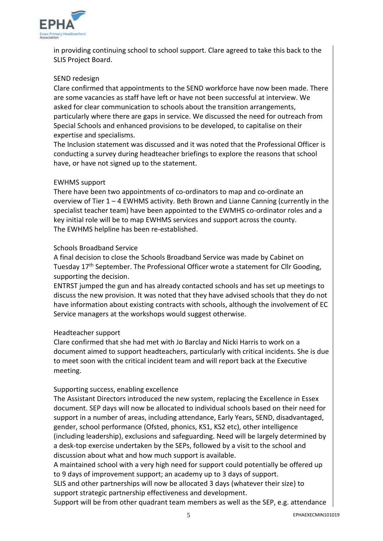

in providing continuing school to school support. Clare agreed to take this back to the SLIS Project Board.

# SEND redesign

Clare confirmed that appointments to the SEND workforce have now been made. There are some vacancies as staff have left or have not been successful at interview. We asked for clear communication to schools about the transition arrangements, particularly where there are gaps in service. We discussed the need for outreach from Special Schools and enhanced provisions to be developed, to capitalise on their expertise and specialisms.

The Inclusion statement was discussed and it was noted that the Professional Officer is conducting a survey during headteacher briefings to explore the reasons that school have, or have not signed up to the statement.

# EWHMS support

There have been two appointments of co-ordinators to map and co-ordinate an overview of Tier 1 – 4 EWHMS activity. Beth Brown and Lianne Canning (currently in the specialist teacher team) have been appointed to the EWMHS co-ordinator roles and a key initial role will be to map EWHMS services and support across the county. The EWHMS helpline has been re-established.

#### Schools Broadband Service

A final decision to close the Schools Broadband Service was made by Cabinet on Tuesday 17<sup>th</sup> September. The Professional Officer wrote a statement for Cllr Gooding, supporting the decision.

ENTRST jumped the gun and has already contacted schools and has set up meetings to discuss the new provision. It was noted that they have advised schools that they do not have information about existing contracts with schools, although the involvement of EC Service managers at the workshops would suggest otherwise.

#### Headteacher support

Clare confirmed that she had met with Jo Barclay and Nicki Harris to work on a document aimed to support headteachers, particularly with critical incidents. She is due to meet soon with the critical incident team and will report back at the Executive meeting.

# Supporting success, enabling excellence

The Assistant Directors introduced the new system, replacing the Excellence in Essex document. SEP days will now be allocated to individual schools based on their need for support in a number of areas, including attendance, Early Years, SEND, disadvantaged, gender, school performance (Ofsted, phonics, KS1, KS2 etc), other intelligence (including leadership), exclusions and safeguarding. Need will be largely determined by a desk-top exercise undertaken by the SEPs, followed by a visit to the school and discussion about what and how much support is available.

A maintained school with a very high need for support could potentially be offered up to 9 days of improvement support; an academy up to 3 days of support.

SLIS and other partnerships will now be allocated 3 days (whatever their size) to support strategic partnership effectiveness and development.

Support will be from other quadrant team members as well as the SEP, e.g. attendance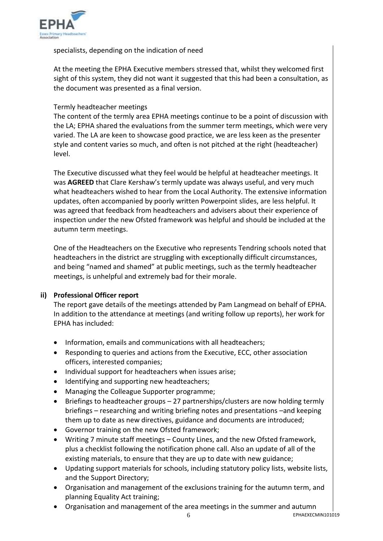

specialists, depending on the indication of need

At the meeting the EPHA Executive members stressed that, whilst they welcomed first sight of this system, they did not want it suggested that this had been a consultation, as the document was presented as a final version.

# Termly headteacher meetings

The content of the termly area EPHA meetings continue to be a point of discussion with the LA; EPHA shared the evaluations from the summer term meetings, which were very varied. The LA are keen to showcase good practice, we are less keen as the presenter style and content varies so much, and often is not pitched at the right (headteacher) level.

The Executive discussed what they feel would be helpful at headteacher meetings. It was **AGREED** that Clare Kershaw's termly update was always useful, and very much what headteachers wished to hear from the Local Authority. The extensive information updates, often accompanied by poorly written Powerpoint slides, are less helpful. It was agreed that feedback from headteachers and advisers about their experience of inspection under the new Ofsted framework was helpful and should be included at the autumn term meetings.

One of the Headteachers on the Executive who represents Tendring schools noted that headteachers in the district are struggling with exceptionally difficult circumstances, and being "named and shamed" at public meetings, such as the termly headteacher meetings, is unhelpful and extremely bad for their morale.

# **ii) Professional Officer report**

The report gave details of the meetings attended by Pam Langmead on behalf of EPHA. In addition to the attendance at meetings (and writing follow up reports), her work for EPHA has included:

- Information, emails and communications with all headteachers;
- Responding to queries and actions from the Executive, ECC, other association officers, interested companies;
- Individual support for headteachers when issues arise;
- Identifying and supporting new headteachers;
- Managing the Colleague Supporter programme;
- Briefings to headteacher groups 27 partnerships/clusters are now holding termly briefings – researching and writing briefing notes and presentations –and keeping them up to date as new directives, guidance and documents are introduced;
- Governor training on the new Ofsted framework;
- Writing 7 minute staff meetings County Lines, and the new Ofsted framework, plus a checklist following the notification phone call. Also an update of all of the existing materials, to ensure that they are up to date with new guidance;
- Updating support materials for schools, including statutory policy lists, website lists, and the Support Directory;
- Organisation and management of the exclusions training for the autumn term, and planning Equality Act training;
- Organisation and management of the area meetings in the summer and autumn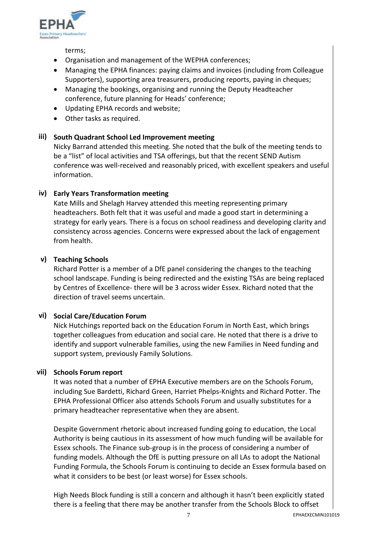

terms;

- Organisation and management of the WEPHA conferences;
- Managing the EPHA finances: paying claims and invoices (including from Colleague Supporters), supporting area treasurers, producing reports, paying in cheques;
- Managing the bookings, organising and running the Deputy Headteacher conference, future planning for Heads' conference;
- Updating EPHA records and website;
- Other tasks as required.

# **iii) South Quadrant School Led Improvement meeting**

Nicky Barrand attended this meeting. She noted that the bulk of the meeting tends to be a "list" of local activities and TSA offerings, but that the recent SEND Autism conference was well-received and reasonably priced, with excellent speakers and useful information.

# **iv) Early Years Transformation meeting**

Kate Mills and Shelagh Harvey attended this meeting representing primary headteachers. Both felt that it was useful and made a good start in determining a strategy for early years. There is a focus on school readiness and developing clarity and consistency across agencies. Concerns were expressed about the lack of engagement from health.

# **v) Teaching Schools**

Richard Potter is a member of a DfE panel considering the changes to the teaching school landscape. Funding is being redirected and the existing TSAs are being replaced by Centres of Excellence- there will be 3 across wider Essex. Richard noted that the direction of travel seems uncertain.

# **vi) Social Care/Education Forum**

Nick Hutchings reported back on the Education Forum in North East, which brings together colleagues from education and social care. He noted that there is a drive to identify and support vulnerable families, using the new Families in Need funding and support system, previously Family Solutions.

# **vii) Schools Forum report**

It was noted that a number of EPHA Executive members are on the Schools Forum, including Sue Bardetti, Richard Green, Harriet Phelps-Knights and Richard Potter. The EPHA Professional Officer also attends Schools Forum and usually substitutes for a primary headteacher representative when they are absent.

Despite Government rhetoric about increased funding going to education, the Local Authority is being cautious in its assessment of how much funding will be available for Essex schools. The Finance sub-group is in the process of considering a number of funding models. Although the DfE is putting pressure on all LAs to adopt the National Funding Formula, the Schools Forum is continuing to decide an Essex formula based on what it considers to be best (or least worse) for Essex schools.

High Needs Block funding is still a concern and although it hasn't been explicitly stated there is a feeling that there may be another transfer from the Schools Block to offset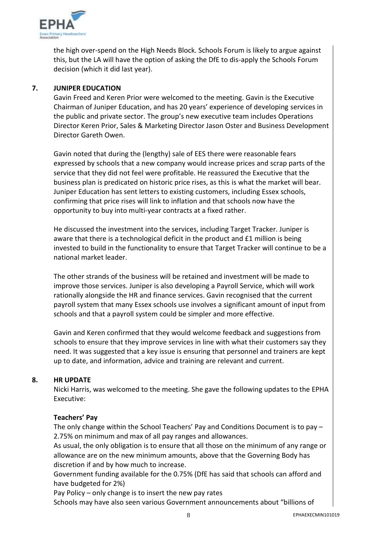

the high over-spend on the High Needs Block. Schools Forum is likely to argue against this, but the LA will have the option of asking the DfE to dis-apply the Schools Forum decision (which it did last year).

# **7. JUNIPER EDUCATION**

Gavin Freed and Keren Prior were welcomed to the meeting. Gavin is the Executive Chairman of Juniper Education, and has 20 years' experience of developing services in the public and private sector. The group's new executive team includes Operations Director Keren Prior, Sales & Marketing Director Jason Oster and Business Development Director Gareth Owen.

Gavin noted that during the (lengthy) sale of EES there were reasonable fears expressed by schools that a new company would increase prices and scrap parts of the service that they did not feel were profitable. He reassured the Executive that the business plan is predicated on historic price rises, as this is what the market will bear. Juniper Education has sent letters to existing customers, including Essex schools, confirming that price rises will link to inflation and that schools now have the opportunity to buy into multi-year contracts at a fixed rather.

He discussed the investment into the services, including Target Tracker. Juniper is aware that there is a technological deficit in the product and  $E1$  million is being invested to build in the functionality to ensure that Target Tracker will continue to be a national market leader.

The other strands of the business will be retained and investment will be made to improve those services. Juniper is also developing a Payroll Service, which will work rationally alongside the HR and finance services. Gavin recognised that the current payroll system that many Essex schools use involves a significant amount of input from schools and that a payroll system could be simpler and more effective.

Gavin and Keren confirmed that they would welcome feedback and suggestions from schools to ensure that they improve services in line with what their customers say they need. It was suggested that a key issue is ensuring that personnel and trainers are kept up to date, and information, advice and training are relevant and current.

#### **8. HR UPDATE**

Nicki Harris, was welcomed to the meeting. She gave the following updates to the EPHA Executive:

#### **Teachers' Pay**

The only change within the School Teachers' Pay and Conditions Document is to pay – 2.75% on minimum and max of all pay ranges and allowances.

As usual, the only obligation is to ensure that all those on the minimum of any range or allowance are on the new minimum amounts, above that the Governing Body has discretion if and by how much to increase.

Government funding available for the 0.75% (DfE has said that schools can afford and have budgeted for 2%)

Pay Policy – only change is to insert the new pay rates

Schools may have also seen various Government announcements about "billions of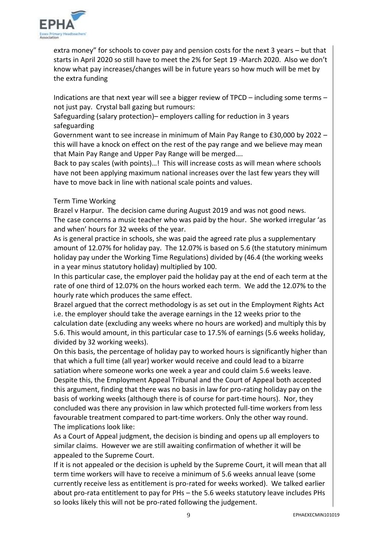

extra money" for schools to cover pay and pension costs for the next 3 years – but that starts in April 2020 so still have to meet the 2% for Sept 19 -March 2020. Also we don't know what pay increases/changes will be in future years so how much will be met by the extra funding

Indications are that next year will see a bigger review of TPCD – including some terms – not just pay. Crystal ball gazing but rumours:

Safeguarding (salary protection)– employers calling for reduction in 3 years safeguarding

Government want to see increase in minimum of Main Pay Range to £30,000 by 2022 – this will have a knock on effect on the rest of the pay range and we believe may mean that Main Pay Range and Upper Pay Range will be merged….

Back to pay scales (with points)…! This will increase costs as will mean where schools have not been applying maximum national increases over the last few years they will have to move back in line with national scale points and values.

# Term Time Working

Brazel v Harpur. The decision came during August 2019 and was not good news. The case concerns a music teacher who was paid by the hour. She worked irregular 'as and when' hours for 32 weeks of the year.

As is general practice in schools, she was paid the agreed rate plus a supplementary amount of 12.07% for holiday pay. The 12.07% is based on 5.6 (the statutory minimum holiday pay under the Working Time Regulations) divided by (46.4 (the working weeks in a year minus statutory holiday) multiplied by 100.

In this particular case, the employer paid the holiday pay at the end of each term at the rate of one third of 12.07% on the hours worked each term. We add the 12.07% to the hourly rate which produces the same effect.

Brazel argued that the correct methodology is as set out in the Employment Rights Act i.e. the employer should take the average earnings in the 12 weeks prior to the

calculation date (excluding any weeks where no hours are worked) and multiply this by 5.6. This would amount, in this particular case to 17.5% of earnings (5.6 weeks holiday, divided by 32 working weeks).

On this basis, the percentage of holiday pay to worked hours is significantly higher than that which a full time (all year) worker would receive and could lead to a bizarre satiation where someone works one week a year and could claim 5.6 weeks leave. Despite this, the Employment Appeal Tribunal and the Court of Appeal both accepted this argument, finding that there was no basis in law for pro-rating holiday pay on the basis of working weeks (although there is of course for part-time hours). Nor, they concluded was there any provision in law which protected full-time workers from less favourable treatment compared to part-time workers. Only the other way round. The implications look like:

As a Court of Appeal judgment, the decision is binding and opens up all employers to similar claims. However we are still awaiting confirmation of whether it will be appealed to the Supreme Court.

If it is not appealed or the decision is upheld by the Supreme Court, it will mean that all term time workers will have to receive a minimum of 5.6 weeks annual leave (some currently receive less as entitlement is pro-rated for weeks worked). We talked earlier about pro-rata entitlement to pay for PHs – the 5.6 weeks statutory leave includes PHs so looks likely this will not be pro-rated following the judgement.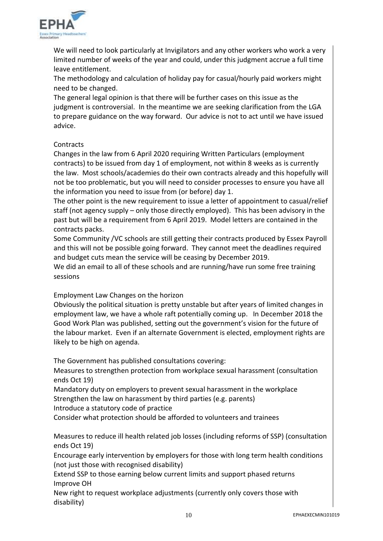

We will need to look particularly at Invigilators and any other workers who work a very limited number of weeks of the year and could, under this judgment accrue a full time leave entitlement.

The methodology and calculation of holiday pay for casual/hourly paid workers might need to be changed.

The general legal opinion is that there will be further cases on this issue as the judgment is controversial. In the meantime we are seeking clarification from the LGA to prepare guidance on the way forward. Our advice is not to act until we have issued advice.

# **Contracts**

Changes in the law from 6 April 2020 requiring Written Particulars (employment contracts) to be issued from day 1 of employment, not within 8 weeks as is currently the law. Most schools/academies do their own contracts already and this hopefully will not be too problematic, but you will need to consider processes to ensure you have all the information you need to issue from (or before) day 1.

The other point is the new requirement to issue a letter of appointment to casual/relief staff (not agency supply – only those directly employed). This has been advisory in the past but will be a requirement from 6 April 2019. Model letters are contained in the contracts packs.

Some Community /VC schools are still getting their contracts produced by Essex Payroll and this will not be possible going forward. They cannot meet the deadlines required and budget cuts mean the service will be ceasing by December 2019.

We did an email to all of these schools and are running/have run some free training sessions

# Employment Law Changes on the horizon

Obviously the political situation is pretty unstable but after years of limited changes in employment law, we have a whole raft potentially coming up. In December 2018 the Good Work Plan was published, setting out the government's vision for the future of the labour market. Even if an alternate Government is elected, employment rights are likely to be high on agenda.

The Government has published consultations covering:

Measures to strengthen protection from workplace sexual harassment (consultation ends Oct 19)

Mandatory duty on employers to prevent sexual harassment in the workplace Strengthen the law on harassment by third parties (e.g. parents)

Introduce a statutory code of practice

Consider what protection should be afforded to volunteers and trainees

Measures to reduce ill health related job losses (including reforms of SSP) (consultation ends Oct 19)

Encourage early intervention by employers for those with long term health conditions (not just those with recognised disability)

Extend SSP to those earning below current limits and support phased returns Improve OH

New right to request workplace adjustments (currently only covers those with disability)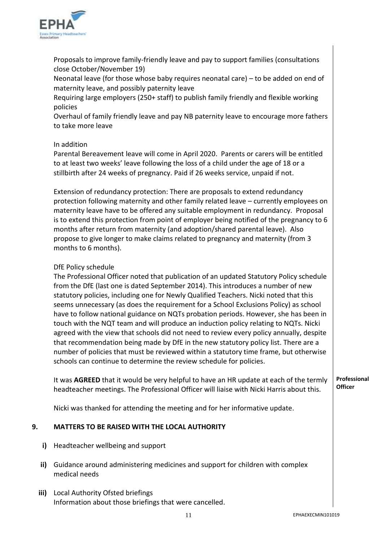

Proposals to improve family-friendly leave and pay to support families (consultations close October/November 19)

Neonatal leave (for those whose baby requires neonatal care) – to be added on end of maternity leave, and possibly paternity leave

Requiring large employers (250+ staff) to publish family friendly and flexible working policies

Overhaul of family friendly leave and pay NB paternity leave to encourage more fathers to take more leave

# In addition

Parental Bereavement leave will come in April 2020. Parents or carers will be entitled to at least two weeks' leave following the loss of a child under the age of 18 or a stillbirth after 24 weeks of pregnancy. Paid if 26 weeks service, unpaid if not.

Extension of redundancy protection: There are proposals to extend redundancy protection following maternity and other family related leave – currently employees on maternity leave have to be offered any suitable employment in redundancy. Proposal is to extend this protection from point of employer being notified of the pregnancy to 6 months after return from maternity (and adoption/shared parental leave). Also propose to give longer to make claims related to pregnancy and maternity (from 3 months to 6 months).

# DfE Policy schedule

The Professional Officer noted that publication of an updated Statutory Policy schedule from the DfE (last one is dated September 2014). This introduces a number of new statutory policies, including one for Newly Qualified Teachers. Nicki noted that this seems unnecessary (as does the requirement for a School Exclusions Policy) as school have to follow national guidance on NQTs probation periods. However, she has been in touch with the NQT team and will produce an induction policy relating to NQTs. Nicki agreed with the view that schools did not need to review every policy annually, despite that recommendation being made by DfE in the new statutory policy list. There are a number of policies that must be reviewed within a statutory time frame, but otherwise schools can continue to determine the review schedule for policies.

It was **AGREED** that it would be very helpful to have an HR update at each of the termly headteacher meetings. The Professional Officer will liaise with Nicki Harris about this. **Professional Officer**

Nicki was thanked for attending the meeting and for her informative update.

#### **9. MATTERS TO BE RAISED WITH THE LOCAL AUTHORITY**

- **i)** Headteacher wellbeing and support
- **ii)** Guidance around administering medicines and support for children with complex medical needs
- **iii)** Local Authority Ofsted briefings Information about those briefings that were cancelled.